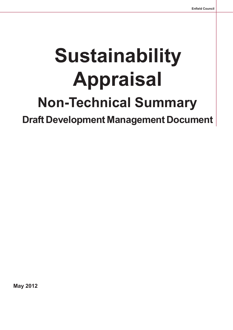# **Sustainability Appraisal Non-Technical Summary Draft Development Management Document**

**May 2012**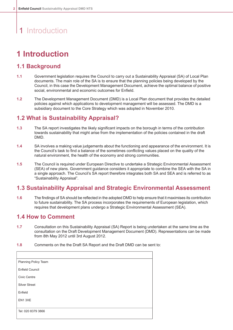# 1 Introduction

## **1 Introduction**

### **1.1 Background**

- **1.1** Government legislation requires the Council to carry out a Sustainability Appraisal (SA) of Local Plan documents. The main role of the SA is to ensure that the planning policies being developed by the Council, in this case the Development Management Document, achieve the optimal balance of positive social, environmental and economic outcomes for Enfield.
- **1.2** The Development Management Document (DMD) is a Local Plan document that provides the detailed policies against which applications to development management will be assessed. The DMD is a subsidiary document to the Core Strategy which was adopted in November 2010.

### **1.2 What is Sustainability Appraisal?**

- **1.3** The SA report investigates the likely significant impacts on the borough in terms of the contribution towards sustainability that might arise from the implementation of the policies contained in the draft DMD.
- **1.4** SA involves a making value judgements about the functioning and appearance of the environment. It is the Council's task to find a balance of the sometimes conflicting values placed on the quality of the natural environment, the health of the economy and strong communities.
- **1.5** The Council is required under European Directive to undertake a Strategic Environmental Assessment (SEA) of new plans. Government guidance considers it appropriate to combine the SEA with the SA in a single approach. The Council's SA report therefore integrates both SA and SEA and is referred to as "Sustainability Appraisal".

### **1.3 Sustainability Appraisal and Strategic Environmental Assessment**

1.6 The findings of SA should be reflected in the adopted DMD to help ensure that it maximises its contribution to future sustainability. The SA process incorporates the requirements of European legislation, which requires that development plans undergo a Strategic Environmental Assessment (SEA).

### **1.4 How to Comment**

- **1.7** Consultation on this Sustainability Appraisal (SA) Report is being undertaken at the same time as the consultation on the Draft Development Management Document (DMD). Representations can be made from 8th May 2012 until 3rd August 2012.
- **1.8** Comments on the the Draft SA Report and the Draft DMD can be sent to:

| Planning Policy Team   |  |
|------------------------|--|
| <b>Enfield Council</b> |  |
| Civic Centre           |  |
| <b>Silver Street</b>   |  |
| Enfield                |  |
| EN13XE                 |  |
| Tel: 020 8379 3866     |  |
|                        |  |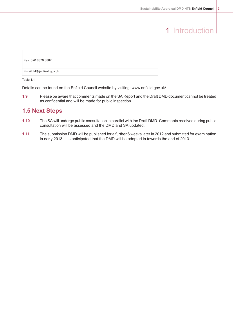# 1 Introduction

| Fax: 020 8379 3887        |  |
|---------------------------|--|
|                           |  |
| Email: Idf@enfield.gov.uk |  |
|                           |  |

Table 1.1

Details can be found on the Enfield Council website by visiting: www.enfield.gov.uk/

1.9 Please be aware that comments made on the SA Report and the Draft DMD document cannot be treated as confidential and will be made for public inspection.

### **1.5 Next Steps**

- 1.10 The SA will undergo public consultation in parallel with the Draft DMD. Comments received during public consultation will be assessed and the DMD and SA updated.
- **1.11** The submission DMD will be published for a further 6 weeks later in 2012 and submitted for examination in early 2013. It is anticipated that the DMD will be adopted in towards the end of 2013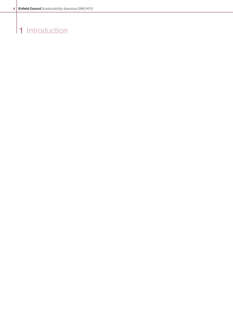# 1 Introduction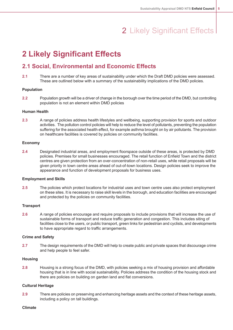# 2 Likely Significant Effects

# **2 Likely Significant Effects**

### **2.1 Social, Environmental and Economic Effects**

**2.1** There are a number of key areas of sustainability under which the Draft DMD policies were assessed. These are outlined below with a summary of the sustainability implications of the DMD policies.

#### **Population**

**2.2** Population growth will be a driver of change in the borough over the time period of the DMD, but controlling population is not an element within DMD policies

#### **Human Health**

**2.3** A range of policies address health lifestyles and wellbeing, supporting provision for sports and outdoor activities. The pollution control policies will help to reduce the level of pollutants, preventing the population suffering for the associated health effect, for example asthma brought on by air pollutants. The provision on healthcare facilities is covered by policies on community facilities.

#### **Economy**

**2.4** Designated industrial areas, and employment floorspace outside of these areas, is protected by DMD policies. Premises for small businesses encouraged. The retail function of Enfield Town and the district centres are given protection from an over-concentration of non-retail uses, while retail proposals will be given priority in town centre areas ahead of out-of-town locations. Design policies seek to improve the appearance and function of development proposals for business uses.

#### **Employment and Skills**

**2.5** The policies which protect locations for industrial uses and town centre uses also protect employment on these sites. It is necessary to raise skill levels in the borough, and education facilities are encouraged and protected by the policies on community facilities.

#### **Transport**

**2.6** A range of policies encourage and require proposals to include provisions that will increase the use of sustainable forms of transport and reduce traffic generation and congestion. This includes siting of facilities close to the users, or public transport, green links for pedestrian and cyclists, and developments to have appropriate regard to traffic arrangements.

#### **Crime and Safety**

**2.7** The design requirements of the DMD will help to create public and private spaces that discourage crime and help people to feel safer.

#### **Housing**

**2.8** Housing is a strong focus of the DMD, with policies seeking a mix of housing provision and affordable housing that is in line with social sustainability. Policies address the condition of the housing stock and there are policies on building on garden land and flat conversions.

#### **Cultural Heritage**

**2.9** There are policies on preserving and enhancing heritage assets and the context of these heritage assets, including a policy on tall buildings.

#### **Climate**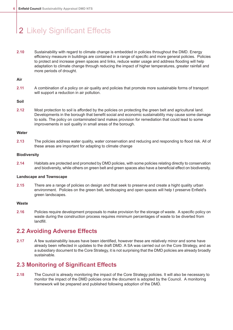# 2 Likely Significant Effects

**2.10** Sustainability with regard to climate change is embedded in policies throughout the DMD. Energy efficiency measure in buildings are contained in a range of specific and more general policies. Policies to protect and increase green spaces and links, reduce water usage and address flooding will help adaptation to climate change through reducing the impact of higher temperatures, greater rainfall and more periods of drought.

#### **Air**

**2.11** A combination of a policy on air quality and policies that promote more sustainable forms of transport will support a reduction in air pollution.

#### **Soil**

**2.12** Most protection to soil is afforded by the policies on protecting the green belt and agricultural land. Developments in the borough that benefit social and economic sustainability may cause some damage to soils. The policy on contaminated land makes provision for remediation that could lead to some improvements in soil quality in small areas of the borough.

#### **Water**

**2.13** The policies address water quality, water conservation and reducing and responding to flood risk. All of these areas are important for adapting to climate change

#### **Biodiversity**

**2.14** Habitats are protected and promoted by DMD policies, with some policies relating directly to conservation and biodiversity, while others on green belt and green spaces also have a beneficial effect on biodiversity.

#### **Landscape and Townscape**

**2.15** There are a range of policies on design and that seek to preserve and create a hight quality urban environment. Policies on the green belt, landscaping and open spaces will help t preserve Enfield's green landscapes.

#### **Waste**

**2.16** Policies require development proposals to make provision for the storage of waste. A specific policy on waste during the construction process requires minimum percentages of waste to be diverted from landfill.

### **2.2 Avoiding Adverse Effects**

**2.17** A few sustainability issues have been identified, however these are relatively minor and some have already been reflected in updates to the draft DMD. A SA was carried out on the Core Strategy, and as a subsidiary document to the Core Strategy, it is not surprising that the DMD policies are already broadly sustainable.

### **2.3 Monitoring of Significant Effects**

**2.18** The Council is already monitoring the impact of the Core Strategy policies. It will also be necessary to monitor the impact of the DMD policies once the document is adopted by the Council. A monitoring framework will be prepared and published following adoption of the DMD.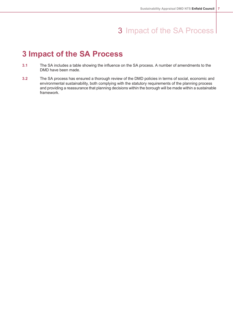## 3 Impact of the SA Process

## **3 Impact of the SA Process**

- **3.1** The SA includes a table showing the influence on the SA process. A number of amendments to the DMD have been made.
- **3.2** The SA process has ensured a thorough review of the DMD policies in terms of social, economic and environmental sustainability, both complying with the statutory requirements of the planning process and providing a reassurance that planning decisions within the borough will be made within a sustainable framework.